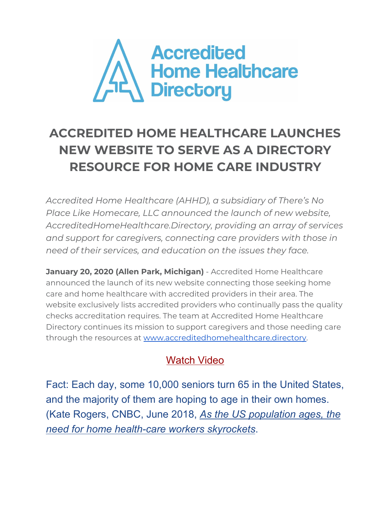

## **ACCREDITED HOME HEALTHCARE LAUNCHES NEW WEBSITE TO SERVE AS A DIRECTORY RESOURCE FOR HOME CARE INDUSTRY**

*Accredited Home Healthcare (AHHD), a subsidiary of There's No Place Like Homecare, LLC announced the launch of new website, AccreditedHomeHealthcare.Directory, providing an array of services and support for caregivers, connecting care providers with those in need of their services, and education on the issues they face.*

**January 20, 2020 (Allen Park, Michigan)** - Accredited Home Healthcare announced the launch of its new website connecting those seeking home care and home healthcare with accredited providers in their area. The website exclusively lists accredited providers who continually pass the quality checks accreditation requires. The team at Accredited Home Healthcare Directory continues its mission to support caregivers and those needing care through the resources at [www.accreditedhomehealthcare.directory.](http://www.accreditedhomehealthcare.directory/)

## [Watch](https://youtu.be/kngxq-Ptmgw) Video

Fact: Each day, some 10,000 seniors turn 65 in the United States, and the majority of them are hoping to age in their own homes. (Kate Rogers, CNBC, June 2018, *As the US [population](https://www.cnbc.com/2018/05/31/as-the-us-population-ages-the-need-for-home-health-care-workers-skyrockets.html) ages, the need for home [health-care](https://www.cnbc.com/2018/05/31/as-the-us-population-ages-the-need-for-home-health-care-workers-skyrockets.html) workers skyrockets*.